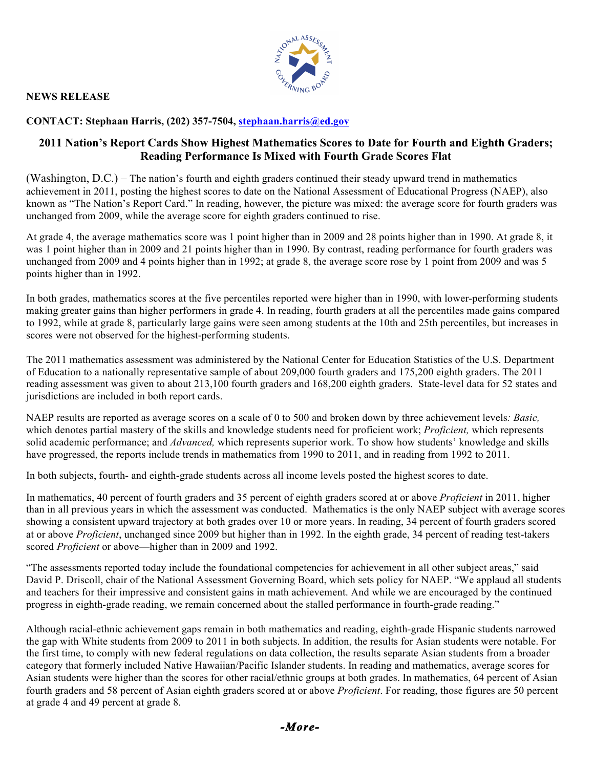## **NEWS RELEASE**



**CONTACT: Stephaan Harris, (202) 357-7504, stephaan.harris@ed.gov**

## **2011 Nation's Report Cards Show Highest Mathematics Scores to Date for Fourth and Eighth Graders; Reading Performance Is Mixed with Fourth Grade Scores Flat**

(Washington, D.C.) – The nation's fourth and eighth graders continued their steady upward trend in mathematics achievement in 2011, posting the highest scores to date on the National Assessment of Educational Progress (NAEP), also known as "The Nation's Report Card." In reading, however, the picture was mixed: the average score for fourth graders was unchanged from 2009, while the average score for eighth graders continued to rise.

At grade 4, the average mathematics score was 1 point higher than in 2009 and 28 points higher than in 1990. At grade 8, it was 1 point higher than in 2009 and 21 points higher than in 1990. By contrast, reading performance for fourth graders was unchanged from 2009 and 4 points higher than in 1992; at grade 8, the average score rose by 1 point from 2009 and was 5 points higher than in 1992.

In both grades, mathematics scores at the five percentiles reported were higher than in 1990, with lower-performing students making greater gains than higher performers in grade 4. In reading, fourth graders at all the percentiles made gains compared to 1992, while at grade 8, particularly large gains were seen among students at the 10th and 25th percentiles, but increases in scores were not observed for the highest-performing students.

The 2011 mathematics assessment was administered by the National Center for Education Statistics of the U.S. Department of Education to a nationally representative sample of about 209,000 fourth graders and 175,200 eighth graders. The 2011 reading assessment was given to about 213,100 fourth graders and 168,200 eighth graders. State-level data for 52 states and jurisdictions are included in both report cards.

NAEP results are reported as average scores on a scale of 0 to 500 and broken down by three achievement levels*: Basic,* which denotes partial mastery of the skills and knowledge students need for proficient work; *Proficient,* which represents solid academic performance; and *Advanced,* which represents superior work. To show how students' knowledge and skills have progressed, the reports include trends in mathematics from 1990 to 2011, and in reading from 1992 to 2011.

In both subjects, fourth- and eighth-grade students across all income levels posted the highest scores to date.

In mathematics, 40 percent of fourth graders and 35 percent of eighth graders scored at or above *Proficient* in 2011, higher than in all previous years in which the assessment was conducted. Mathematics is the only NAEP subject with average scores showing a consistent upward trajectory at both grades over 10 or more years. In reading, 34 percent of fourth graders scored at or above *Proficient*, unchanged since 2009 but higher than in 1992. In the eighth grade, 34 percent of reading test-takers scored *Proficient* or above—higher than in 2009 and 1992.

"The assessments reported today include the foundational competencies for achievement in all other subject areas," said David P. Driscoll, chair of the National Assessment Governing Board, which sets policy for NAEP. "We applaud all students and teachers for their impressive and consistent gains in math achievement. And while we are encouraged by the continued progress in eighth-grade reading, we remain concerned about the stalled performance in fourth-grade reading."

Although racial-ethnic achievement gaps remain in both mathematics and reading, eighth-grade Hispanic students narrowed the gap with White students from 2009 to 2011 in both subjects. In addition, the results for Asian students were notable. For the first time, to comply with new federal regulations on data collection, the results separate Asian students from a broader category that formerly included Native Hawaiian/Pacific Islander students. In reading and mathematics, average scores for Asian students were higher than the scores for other racial/ethnic groups at both grades. In mathematics, 64 percent of Asian fourth graders and 58 percent of Asian eighth graders scored at or above *Proficient*. For reading, those figures are 50 percent at grade 4 and 49 percent at grade 8.